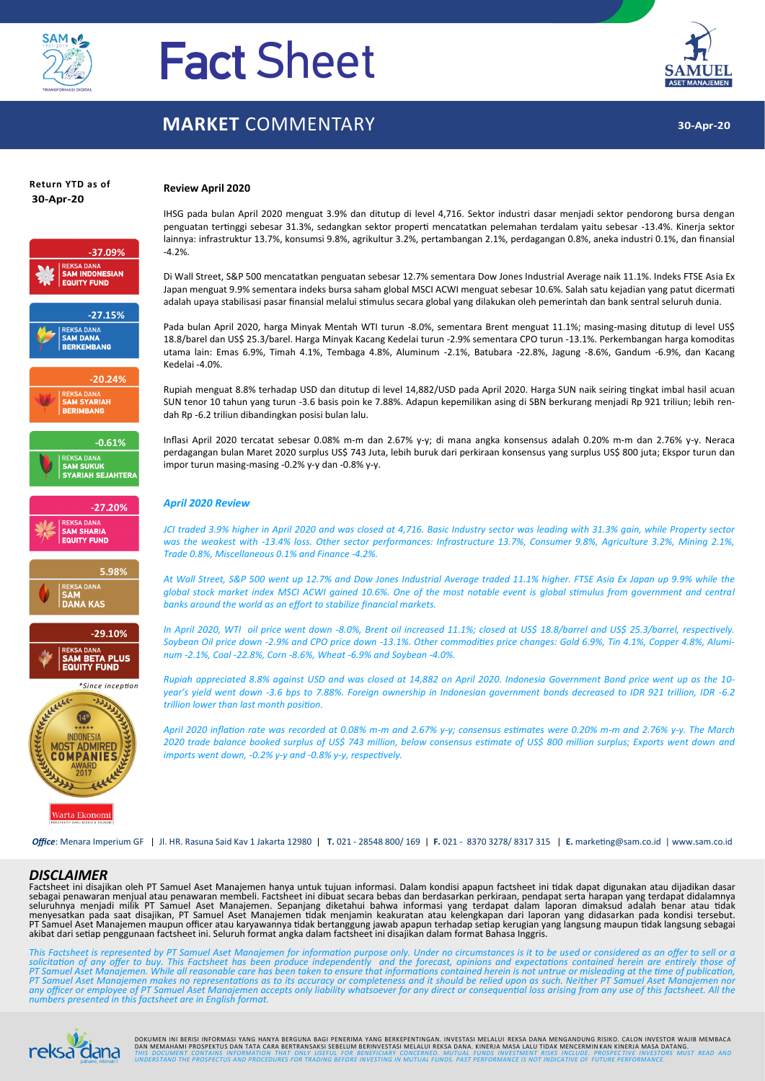

# Fact Sheet

## **MARKET** COMMENTARY



**30-Apr-20**

# **Return YTD as of**



#### IHSG pada bulan April 2020 menguat 3.9% dan ditutup di level 4,716. Sektor industri dasar menjadi sektor pendorong bursa dengan penguatan tertinggi sebesar 31.3%, sedangkan sektor properti mencatatkan pelemahan terdalam yaitu sebesar -13.4%. Kinerja sektor lainnya: infrastruktur 13.7%, konsumsi 9.8%, agrikultur 3.2%, pertambangan 2.1%, perdagangan 0.8%, aneka industri 0.1%, dan finansial -4.2%.

Di Wall Street, S&P 500 mencatatkan penguatan sebesar 12.7% sementara Dow Jones Industrial Average naik 11.1%. Indeks FTSE Asia Ex Japan menguat 9.9% sementara indeks bursa saham global MSCI ACWI menguat sebesar 10.6%. Salah satu kejadian yang patut dicermati adalah upaya stabilisasi pasar finansial melalui stimulus secara global yang dilakukan oleh pemerintah dan bank sentral seluruh dunia.

Pada bulan April 2020, harga Minyak Mentah WTI turun -8.0%, sementara Brent menguat 11.1%; masing-masing ditutup di level US\$ 18.8/barel dan US\$ 25.3/barel. Harga Minyak Kacang Kedelai turun -2.9% sementara CPO turun -13.1%. Perkembangan harga komoditas utama lain: Emas 6.9%, Timah 4.1%, Tembaga 4.8%, Aluminum -2.1%, Batubara -22.8%, Jagung -8.6%, Gandum -6.9%, dan Kacang Kedelai -4.0%.

Rupiah menguat 8.8% terhadap USD dan ditutup di level 14,882/USD pada April 2020. Harga SUN naik seiring tingkat imbal hasil acuan SUN tenor 10 tahun yang turun -3.6 basis poin ke 7.88%. Adapun kepemilikan asing di SBN berkurang menjadi Rp 921 triliun; lebih rendah Rp -6.2 triliun dibandingkan posisi bulan lalu.

Inflasi April 2020 tercatat sebesar 0.08% m-m dan 2.67% y-y; di mana angka konsensus adalah 0.20% m-m dan 2.76% y-y. Neraca perdagangan bulan Maret 2020 surplus US\$ 743 Juta, lebih buruk dari perkiraan konsensus yang surplus US\$ 800 juta; Ekspor turun dan impor turun masing-masing -0.2% y-y dan -0.8% y-y.

#### *April 2020 Review*

**Review April 2020**

*JCI traded 3.9% higher in April 2020 and was closed at 4,716. Basic Industry sector was leading with 31.3% gain, while Property sector was the weakest with -13.4% loss. Other sector performances: Infrastructure 13.7%, Consumer 9.8%, Agriculture 3.2%, Mining 2.1%, Trade 0.8%, Miscellaneous 0.1% and Finance -4.2%.*

*At Wall Street, S&P 500 went up 12.7% and Dow Jones Industrial Average traded 11.1% higher. FTSE Asia Ex Japan up 9.9% while the global stock market index MSCI ACWI gained 10.6%. One of the most notable event is global stimulus from government and central banks around the world as an effort to stabilize financial markets.*

*In April 2020, WTI oil price went down -8.0%, Brent oil increased 11.1%; closed at US\$ 18.8/barrel and US\$ 25.3/barrel, respectively. Soybean Oil price down -2.9% and CPO price down -13.1%. Other commodities price changes: Gold 6.9%, Tin 4.1%, Copper 4.8%, Aluminum -2.1%, Coal -22.8%, Corn -8.6%, Wheat -6.9% and Soybean -4.0%.*

*Rupiah appreciated 8.8% against USD and was closed at 14,882 on April 2020. Indonesia Government Bond price went up as the 10 year's yield went down -3.6 bps to 7.88%. Foreign ownership in Indonesian government bonds decreased to IDR 921 trillion, IDR -6.2 trillion lower than last month position.*

*April 2020 inflation rate was recorded at 0.08% m-m and 2.67% y-y; consensus estimates were 0.20% m-m and 2.76% y-y. The March 2020 trade balance booked surplus of US\$ 743 million, below consensus estimate of US\$ 800 million surplus; Exports went down and imports went down, -0.2% y-y and -0.8% y-y, respectively.*

*Office*: Menara Imperium GF | Jl. HR. Rasuna Said Kav 1 Jakarta 12980 | **T.** 021 - 28548 800/ 169 | **F.** 021 - 8370 3278/ 8317 315 | **E.** marketing@sam.co.id | www.sam.co.id

#### *DISCLAIMER*

Factsheet ini disajikan oleh PT Samuel Aset Manajemen hanya untuk tujuan informasi. Dalam kondisi apapun factsheet ini tidak dapat digunakan atau dijadikan dasar sebagai penawaran menjual atau penawaran membeli. Factsheet ini dibuat secara bebas dan berdasarkan perkiraan, pendapat serta harapan yang terdapat didalamnya<br>seluruhnya menjadi milik PT Samuel Aset Manajemen. Sepanjang di PT Samuel Aset Manajemen maupun officer atau karyawannya tidak bertanggung jawab apapun terhadap setiap kerugian yang langsung maupun tidak langsung sebagai<br>akibat dari setiap penggunaan factsheet ini. Seluruh format angka

This Factsheet is represented by PT Samuel Aset Manajemen for information purpose only. Under no circumstances is it to be used or considered as an offer to sell or a<br>solicitation of any offer to buy. This Factsheet has be



DOKUMEN INI BERISI INFORMASI YANG HANYA BERGUNA BAGI PENERMA YANG BERKEPENTINGAN. INVESTASI INELALUI REKSA DANA<br>DAN MEMAHAMI PROSPEKTUS DAN TATA CARA BERTRANSAKSI SEBELUM BERINVESTASI MELALUI REKSA DANA. KINERJA ALALU TIDA UUI THIS DOCUMENT CONTAINS INFORMATION THAT ONLY USEFUL FOR BENEFICIARY CONCERNED. MUTUAL FUNDS INVESTMENT RISKS INCLUDE. PROSPECTIVE INVESTORS MUST READ AND<br><sub>Dehemi, nikmai!! UNDERSTAND THE PROSPECTUS AND PROCEDURES FOR T</sub>